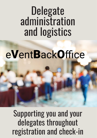# **Delegate** administration and logistics

# e**V**ent**B**ack**O**ffice e**V**ent**B**ack**O**ffice

Supporting you and your delegates throughout registration and check-in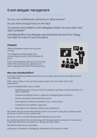## Event delegate management

Do you run conferences, seminars or other events?

Do you have enough hours in the day?

Do queries and problems with delegates break into your plans and daily schedule?

eVentBackOffice the delegate administration service from Xitagy can take the load off your shoulders.

#### **Delegates**

Without delegates events are not worth running.

Yet delegates are demanding, time consuming and work to their schedule not yours.

Even worse delegates take up your time long before the event, placing a great strain on event organisers and their limited resources.



#### Who uses eVentBackOffice?

Event and marketing professionals like you who need to get the job done efficiently and cost effectively.

Often with a small or even part time support team who have other roles in the organisation.

Typical eVentBackOffice users include:

- Marketing groups running a series of customer seminars, product launches or a sales conference
- Corporate hospitality teams or agencies managing guest invitations
- Human resources running training courses
- Event agencies working on behalf of one or more clients
- Conference and exhibition organisers
- Associations for meetings, training and conferences

We answer the phone and send emails as part of your team using your company name. Giving you the time to run a great event.

We do as much or as little delegate administration as you need.

By combining state of the art technology with fantastic service and years of events and hospitality experience we create your virtual event back office.

We take the load off your shoulders.

Letting you concentrate on designing, marketing and running your event.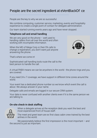## People are the secret ingredient at eVentBackOf ce

People are the key to why we are so successful.

We combine computing, customer service, marketing, events and hospitality experience to create a single point of contact for delegate administration.

Our team started running events years ago and have never stopped.

#### Telephone call and email handling

We are very good on the phone – well used to handling callers from all over the world and often working with incomplete information.

When the MD of Mega Corp or their PA calls to change a registration, you don't want just anyone answering the phone.



That's where we come in!

Sophisticated call handling tools route the call to the best person to handle the call.

A virtual PABX means we can be anywhere in the world - the phone rings and you are covered.

If you need 24 x 7 coverage, we have support in different time zones around the world.

Your event has a dedicated phone number so we know which event the call is about. We always answer in your name.

Delegate calls and emails are logged in our secure CRM system.

Your data is never confused with another clients even if it is the same person we are talking to.

### On-site check-in desk staffing



When a delegate arrives at the reception desk you want the best and most experienced front of house staff.

The meet and greet team are ex first class cabin crew trained by the best airlines in the world.

We passionately believe the first impression is the most important – and the second is just as important.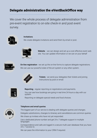## **Delegate administration the eVentBackOffice way**

We cover the whole process of delegate administration from pre-event registration to on-site check-in and post event survey.



Invitations

We create delegate invitations and send them by email or post.



Website - we can design and set up a cost effective event web site. You can update information or we can on your behalf



**On-line registration** - we set up the on-line forms to capture delegate registrations. We can use our powerful state of the art system or any other system.



**Tickets** - we send your delegates their tickets and joining instructions by post or email.

|  |  |  | ''''''' | Ш | Π |  |
|--|--|--|---------|---|---|--|
|  |  |  |         |   |   |  |

**Reporting** - regular reporting on registrations and payments. You can see how bookings are going in real time 24 hours a day with our system.

Reporting on delegate special needs and food choices.



#### Telephone and email queries

The biggest part of our service is dealing with delegate queries and changes. Delegate substitutions, changes to itinerary and cancellations are common queries. We chase up invitees who have not yet responded.

Use a dedicated phone number and get 24 x 7 delegate support in multiple languages

Correspondence and calls are logged in a secure multi-user database that you have 24 x 7 access to.

We can pass the information to your CRM if required.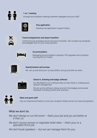

#### 1 on 1 meeting

Arrange and schedule meetings between delegates and your staff.



#### Visa application

Sending visa application support letters.

| ♦<br>$\overline{\phantom{0}}$ | × |
|-------------------------------|---|
|                               |   |

#### Travel arrangements and airport transfers

Confirming and arranging travel and airport transfers. We compile trip schedules and delegate lists for your travel partners.



#### Accommodation

Managing accommodation requests, VIP upgrades and compiling rooming lists for hotels.



#### Questionnaires and surveys

We set up and send your surveys before, during and after an event.



#### Check-in, ticketing and badge software

Our BookMeIn2.com software does on-site check-in, ticketing and session management.

We set up the software, design and print the badges and provide hardware including printers and scanners



#### Meet and greet staff

Use our experienced teams to man your reception desks and act as meet and greeters.

#### What we don't do

*We don't design or run the event – that's your job and you are better at it than us.*

*We don't source venues or negotiate hotel rates – that's your or a specialist firm's job.*

*We don't book speakers – but we can manage them for you.*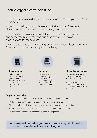## Technology at eVentBackOf ce

Event registration and delegate administration seems simple - but it's all in the detail.

Anyone who tells you the technology behind <sup>a</sup> successful event is always simple has not been in the industry very long.

The technical team at eVentBackOffice have been designing, building and successfully implementing business software in major organisations for many years.

We might not have seen everything, but we have seen a lot, so very little fazes us and we are always up for <sup>a</sup> challenge.



**Registrations** 

Take on-line registrations using our fast and flexible software or use another system if you prefer.



Branding

Reinforce your brand on the registration forms and emails with your colours, logos, fonts and house style.



URL and email address

Set the domain name, URL and email addresses to reflect your brand.

Edit the text on web screens and emails to match your tone of voice and style.

#### Corporate Hospitality

- A Guest Management system that's simple to use, secure and audited.
- Works for field staff, managers and guests all without training.
- Gives you full control of who invites guests and who approves the expenditure.
- Bribery Act 2010 helps enforce internal polices for larger organisations.
- Your corporate brand both inside and outside the organisation.

e**V**ent**B**ack**O**ffice makes you like a swan moving calmly on the surface while underneath we're working hard.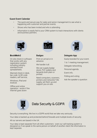#### Guest Event Calendar

- The quick and secure way for sales and senior management to see what is happening with customer and partner events.
- Shows who has been invited and who is attending.
- Information is easily fed to your CRM system to track interactions with clients and business partners.



#### **B**ook**M**e**I**n2

On-site check-in software that works with any registration system including industry standard Excel spreadsheets.

Manned check-in desk, bar code & QR code readers, self service,

Windows, iPad and Android.

Offline and online operation - works if the Internet goes down



#### Badges

Print on arrival or in advance.

We handle it all.

We can supply badge stock, PVC wallets and lanyards both plain or printed.

Need computers, scanners, printers and networks? We supply, set them up and support you on-site.



#### Delegate App

Easily branded for your event.

1 to 1 meeting management.

Delegate networking.

Personal agenda.

Event info.

Polling and voting

Ask the speaker a question



Security is everything. We live in a GDPR world that we take very seriously.

Your data is backed up and protected behind firewalls and multiple levels of security.

All our servers are based in the UK.

Your data is kept separate from all other customers - even our call tracking system is designed so if we speak to the same person on behalf of another client the information is kept separate.